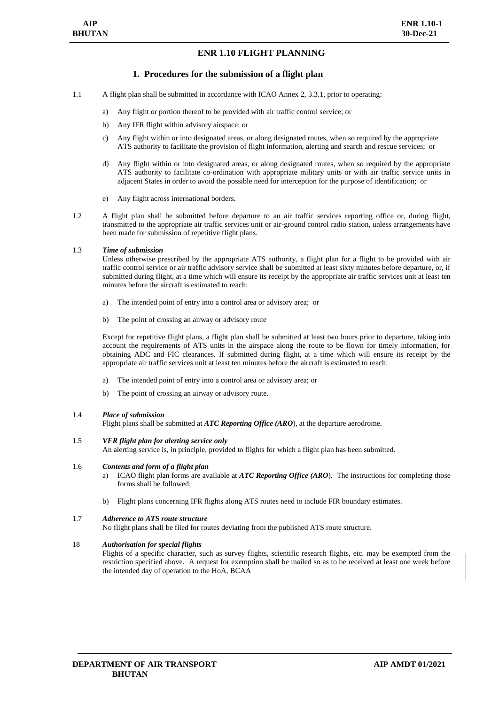# **ENR 1.10 FLIGHT PLANNING**

## **1. Procedures for the submission of a flight plan**

- 1.1 A flight plan shall be submitted in accordance with ICAO Annex 2, 3.3.1, prior to operating:
	- a) Any flight or portion thereof to be provided with air traffic control service; or
	- b) Any IFR flight within advisory airspace; or
	- c) Any flight within or into designated areas, or along designated routes, when so required by the appropriate ATS authority to facilitate the provision of flight information, alerting and search and rescue services; or
	- d) Any flight within or into designated areas, or along designated routes, when so required by the appropriate ATS authority to facilitate co-ordination with appropriate military units or with air traffic service units in adjacent States in order to avoid the possible need for interception for the purpose of identification; or
	- e) Any flight across international borders.
- 1.2 A flight plan shall be submitted before departure to an air traffic services reporting office or, during flight, transmitted to the appropriate air traffic services unit or air-ground control radio station, unless arrangements have been made for submission of repetitive flight plans.

## 1.3 *Time of submission*

Unless otherwise prescribed by the appropriate ATS authority, a flight plan for a flight to be provided with air traffic control service or air traffic advisory service shall be submitted at least sixty minutes before departure, or, if submitted during flight, at a time which will ensure its receipt by the appropriate air traffic services unit at least ten minutes before the aircraft is estimated to reach:

- a) The intended point of entry into a control area or advisory area; or
- b) The point of crossing an airway or advisory route

Except for repetitive flight plans, a flight plan shall be submitted at least two hours prior to departure, taking into account the requirements of ATS units in the airspace along the route to be flown for timely information, for obtaining ADC and FIC clearances. If submitted during flight, at a time which will ensure its receipt by the appropriate air traffic services unit at least ten minutes before the aircraft is estimated to reach:

- a) The intended point of entry into a control area or advisory area; or
- b) The point of crossing an airway or advisory route.

## 1.4 *Place of submission*

Flight plans shall be submitted at *ATC Reporting Office (ARO*), at the departure aerodrome.

#### 1.5 *VFR flight plan for alerting service only*

An alerting service is, in principle, provided to flights for which a flight plan has been submitted.

#### 1.6 *Contents and form of a flight plan*

- a) ICAO flight plan forms are available at *ATC Reporting Office (ARO*). The instructions for completing those forms shall be followed;
- b) Flight plans concerning IFR flights along ATS routes need to include FIR boundary estimates.

#### 1.7 *Adherence to ATS route structure*

No flight plans shall be filed for routes deviating from the published ATS route structure.

## 18 *Authorisation for special flights*

Flights of a specific character, such as survey flights, scientific research flights, etc. may be exempted from the restriction specified above. A request for exemption shall be mailed so as to be received at least one week before the intended day of operation to the HoA, BCAA